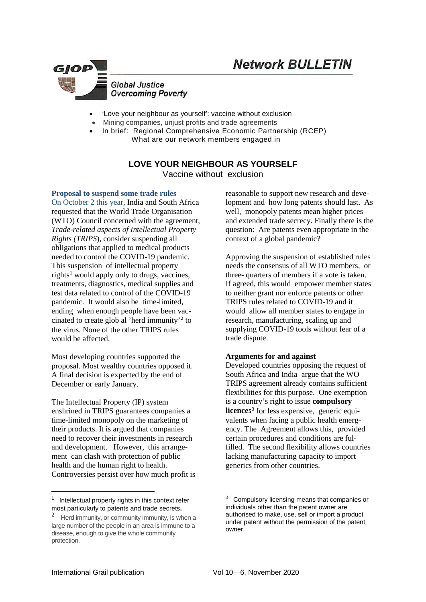

- 'Love your neighbour as yourself': vaccine without exclusion
- Mining companies, unjust profits and trade agreements
- In brief: Regional Comprehensive Economic Partnership (RCEP) What are our network members engaged in

# **LOVE YOUR NEIGHBOUR AS YOURSELF** Vaccine without exclusion

**Proposal to suspend some trade rules**

On October 2 this year, India and South Africa requested that the World Trade Organisation (WTO) Council concerned with the agreement, *Trade-related aspects of Intellectual Property Rights (TRIPS*), consider [suspending](https://docs.wto.org/dol2fe/Pages/SS/directdoc.aspx?filename=q:/IP/C/W669.pdf&Open=True) all obligations that applied to medical products needed to control the COVID-19 pandemic. This suspension of intellectual property rights<sup>[1](#page-0-0)</sup> would apply only to drugs, vaccines, treatments, diagnostics, medical supplies and test data related to control of the COVID-19 pandemic. It would also be time-limited, ending when enough people have been vaccinated to create glob al 'herd immunity'[2](#page-0-1) to the virus. None of the other TRIPS rules would be affected.

Most developing countries supported the proposal. Most wealthy countries opposed it. A final decision is expected by the end of December or early January.

The Intellectual Property (IP) system enshrined in TRIPS guarantees companies a time-limited monopoly on the marketing of their products. It is argued that companies need to recover their investments in research and development. However, this arrangement can clash with [protection of public](https://www.who.int/intellectualproperty/documents/thereport/ENPublicHealthReport.pdf?ua=1)  [health and the human right to health.](https://www.who.int/intellectualproperty/documents/thereport/ENPublicHealthReport.pdf?ua=1) Controversies persist over [how much profit is](https://www.benefitspro.com/2019/11/20/big-pharma-companies-could-lose-1-trillion-and-still-be-more-profitable-than-other-industries/?slreturn=20200928082044)  [reasonable to support new research and deve](https://www.benefitspro.com/2019/11/20/big-pharma-companies-could-lose-1-trillion-and-still-be-more-profitable-than-other-industries/?slreturn=20200928082044)[lopment](https://www.benefitspro.com/2019/11/20/big-pharma-companies-could-lose-1-trillion-and-still-be-more-profitable-than-other-industries/?slreturn=20200928082044) and how long patents should last. As well, monopoly patents mean higher prices and extended trade secrecy. Finally there is the question: Are patents even appropriate in the context of a global pandemic?

Approving the suspension of established rules needs the consensus of all WTO members, or three- quarters of members if a vote is taken. If agreed, this would empower member states to neither grant nor enforce patents or other TRIPS rules related to COVID-19 and it would allow all member states to engage in research, manufacturing, scaling up and supplying COVID-19 tools without fear of a trade dispute.

## **Arguments for and against**

Developed countries opposing the request of South Africa and India argue that the WO [TRIPS agreement already contains sufficient](https://www.keionline.org/34275)  [flexibilities](https://www.keionline.org/34275) for this purpose. One exemption is a country's right to issue **compulsory licence**s<sup>[3](#page-0-0)</sup> for less expensive, generic equivalents when facing a public health emergency. The Agreement allows this, provided certain procedures and conditions are fulfilled. The second flexibility allows countries lacking manufacturing capacity to import generics from other countries.

<span id="page-0-0"></span> $\frac{1}{1}$  $1$  Intellectual property rights in this context refer most particularly to patents and trade secrets.

<span id="page-0-1"></span><sup>&</sup>lt;sup>2</sup> Herd immunity, or community immunity, is when a large number of the people in an area is immune to a disease, enough to give the whole community protection.

 $3$  Compulsory licensing means that companies or individuals other than the patent owner are authorised to make, use, sell or import a product under patent without the permission of the patent owner.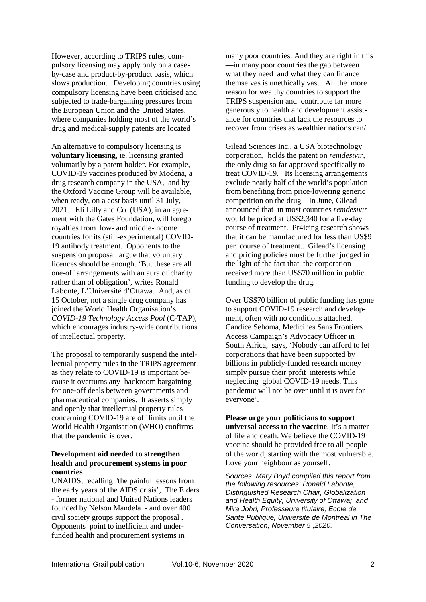However, according to TRIPS rules, compulsory licensing may apply only on a caseby-case and product-by-product basis, which slows production. Developing countries using compulsory licensing have been criticised and subjected to trade-bargaining pressures from the European Union and the United States, where companies holding most of the world's drug and medical-supply patents are located

An alternative to compulsory licensing is **voluntary licensing**, ie. licensing granted voluntarily by a patent holder. For example, COVID-19 vaccines produced by Modena, a drug research company in the USA, and by the Oxford Vaccine Group will be [available,](https://www.ft.com/content/c474f9e1-8807-4e57-9c79-6f4af145b686)  [when ready, on a cost basis until 31](https://www.ft.com/content/c474f9e1-8807-4e57-9c79-6f4af145b686) July, [2021.](https://www.ft.com/content/c474f9e1-8807-4e57-9c79-6f4af145b686) Eli Lilly and Co. (USA), in an agrement with the Gates Foundation, [will forego](https://uk.reuters.com/article/health-coronavirus-lilly-antibody/eli-lilly-in-deal-to-supply-covid-19-drugs-to-low-income-countries-idUSKBN26T26H)  royalties from low- [and middle-income](https://uk.reuters.com/article/health-coronavirus-lilly-antibody/eli-lilly-in-deal-to-supply-covid-19-drugs-to-low-income-countries-idUSKBN26T26H)  [countries](https://uk.reuters.com/article/health-coronavirus-lilly-antibody/eli-lilly-in-deal-to-supply-covid-19-drugs-to-low-income-countries-idUSKBN26T26H) for its (still-experimental) COVID-19 antibody treatment. Opponents to the suspension proposal argue that voluntary licences should be enough. 'But these are all one-off arrangements with an aura of charity rather than of obligation', writes Ronald Labonte, L'Université d'Ottawa. And, as of 15 October, not a single drug company has joined the World Health Organisation's *[COVID-19 Technology Access Pool](https://www.who.int/emergencies/diseases/novel-coronavirus-2019/global-research-on-novel-coronavirus-2019-ncov/covid-19-technology-access-pool)* (C-TAP), which encourages industry-wide contributions of intellectual property.

The proposal to temporarily suspend the intellectual property rules in the TRIPS agreement as they relate to COVID-19 is important because it overturns any backroom bargaining for one-off deals between governments and pharmaceutical companies. It asserts simply and openly that intellectual property rules concerning COVID-19 are off limits until the World Health Organisation (WHO) confirms that the pandemic is over.

# **[Development aid needed to strengthen](https://www.wto.org/english/news_e/news20_e/trip_20oct20_e.htm)  [health and procurement systems](https://www.wto.org/english/news_e/news20_e/trip_20oct20_e.htm) in poor countries**

UNAIDS, recalling ['the painful lessons from](https://www.unaids.org/en/resources/presscentre/pressreleaseandstatementarchive/2020/october/20201015_waiver-obligations-trips-agreement-covid19)  [the early years of the AIDS crisis',](https://www.unaids.org/en/resources/presscentre/pressreleaseandstatementarchive/2020/october/20201015_waiver-obligations-trips-agreement-covid19) The Elders - former national and United Nations leaders founded by Nelson Mandela - and over 400 civil society groups support the proposal . Opponents point to [inefficient and under](https://www.wto.org/english/news_e/news20_e/trip_20oct20_e.htm)[funded health and procurement systems](https://www.wto.org/english/news_e/news20_e/trip_20oct20_e.htm) in

many poor countries. And they are right in this —in many poor countries the gap between what they need and what they can finance themselves is unethically vast. All the more reason for wealthy countries to support the TRIPS suspension and contribute far more generously to health and development assistance for countries that lack the resources to recover from crises as wealthier nations can/

Gilead Sciences Inc., a USA biotechnology corporation, holds the patent on *remdesivir*, the only drug so far approved specifically to treat COVID-19. Its licensing arrangements exclude nearly half of the world's population from benefiting from price-lowering generic competition on the drug. In June, Gilead announced that in most countries *remdesivir*  would be priced at US\$2,340 for a five-day course of treatment. Pr4icing research shows that it can be manufactured for less than US\$9 per course of treatment.. Gilead's licensing and pricing policies must be further judged in the light of the fact that the corporation received more than US\$70 million in public funding to develop the drug.

Over [US\\$70 billion of public funding has gone](https://www.keionline.org/34235)  [to support COVID-19 research and develop](https://www.keionline.org/34235)[ment,](https://www.keionline.org/34235) often with no conditions attached. Candice Sehoma, Medicines Sans Frontiers Access Campaign's Advocacy Officer in South Africa, says, 'Nobody can afford to let corporations that have been supported by billions in publicly-funded research money simply pursue their profit interests while neglecting global COVID-19 needs. This pandemic will not be over until it is over for everyone'.

**Please urge your politicians to support universal access to the vaccine**. It's a matter of life and death. We believe the COVID-19 vaccine should be provided free to all people of the world, starting with the most vulnerable. Love your neighbour as yourself.

*Sources: Mary Boyd compiled this report from the following resources: Ronald Labonte, Distinguished Research Chair, Globalization and Health Equity, University of Ottawa; and Mira Johri, Professeure titulaire, Ecole de Sante Publique, Universite de Montreal in The Conversation, November 5 ,2020.*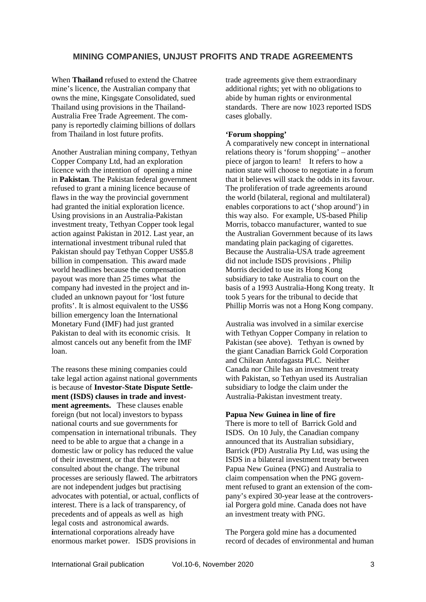# **MINING COMPANIES, UNJUST PROFITS AND TRADE AGREEMENTS**

When **Thailand** refused to extend the Chatree mine's licence, the Australian company that owns the mine, Kingsgate Consolidated, [sued](https://www.bangkokpost.com/thailand/general/1653764/kingsgate-pushes-ahead-with-legal-challenge-to-mine-closure)  [Thailand](https://www.bangkokpost.com/thailand/general/1653764/kingsgate-pushes-ahead-with-legal-challenge-to-mine-closure) using provisions in the Thailand-Australia Free Trade Agreement. The company is reportedly claiming billions of dollars from Thailand in lost future profits.

Another Australian mining company, Tethyan Copper Company Ltd, had an exploration licence with the intention of opening a mine in **Pakistan**. The Pakistan federal government refused to grant a mining licence because of flaws in the way the provincial government had granted the initial exploration licence. Using provisions in an Australia-Pakistan investment treaty, Tethyan Copper took legal action against Pakistan in 2012. Last year, an international investment tribunal ruled that Pakistan should pay Tethyan Coppe[r US\\$5.8](https://www.antofagasta.co.uk/investors/news/2019/reko-diq-project-arbitration-award/)  [billion](https://www.antofagasta.co.uk/investors/news/2019/reko-diq-project-arbitration-award/) in compensation. This award made world headlines because the compensation payout was more than 25 times what the company had invested in the project and included an unknown payout for 'lost future profits'. It is almost equivalent to the US\$6 billion emergency loan the International Monetary Fund (IMF) had just granted Pakistan to deal with its economic crisis. It almost cancels out any benefit from the IMF loan.

The reasons these mining companies could take legal action against national governments is because of **Investor-State Dispute Settlement (ISDS) clauses in trade and investment agreements.** These clauses enable foreign (but not local) investors to bypass national courts and sue governments for compensation in international tribunals. They need to be able to argue that a change in a domestic law or policy has reduced the value of their investment, or that they were not consulted about the change. The tribunal processes are seriously flawed. The arbitrators are not independent judges but practising advocates with potential, or actual, conflicts of interest. There is a lack of transparency, of precedents and of appeals as well as high legal costs and astronomical awards. **i**nternational corporations already have enormous market power. ISDS provisions in

trade agreements give them extraordinary additional rights; yet with no obligations to abide by human rights or environmental standards. There are now [1023 reported ISDS](https://investmentpolicy.unctad.org/investment-dispute-settlement)  [cases](https://investmentpolicy.unctad.org/investment-dispute-settlement) globally.

## **'Forum shopping'**

A comparatively new concept in international relations theory is 'forum shopping' – another piece of jargon to learn! It refers to how a nation state will choose to negotiate in a forum that it believes will stack the odds in its favour. The proliferation of trade agreements around the world (bilateral, regional and multilateral) enables corporations to act ('shop around') in this way also. For example, US-based Philip Morris, tobacco manufacturer, wanted to sue the Australian Government because of its laws mandating plain packaging of cigarettes. Because the Australia-USA trade agreement did not include ISDS provisions , Philip Morris decided to use its Hong Kong subsidiary to take Australia to court on the basis of a 1993 Australia-Hong Kong treaty. It took 5 years for the tribunal to decide that Phillip Morris was not a Hong Kong company.

Australia was involved in a similar exercise with Tethyan Copper Company in relation to Pakistan (see above). Tethyan is owned by the giant Canadian Barrick Gold Corporation and Chilean Antofagasta PLC. Neither Canada nor Chile has an investment treaty with Pakistan, so Tethyan used its Australian subsidiary to lodge the claim under the Australia-Pakistan investment treaty.

#### **Papua New Guinea in line of fire**

There is more to tell of Barrick Gold and ISDS. On 10 July, the [Canadian company](https://www.barrick.com/English/news/news-details/2020/barrick-serves-notice-of-dispute-over-porgera/default.aspx)  [announced](https://www.barrick.com/English/news/news-details/2020/barrick-serves-notice-of-dispute-over-porgera/default.aspx) that its Australian subsidiary, Barrick (PD) Australia Pty Ltd, was using the ISDS in a bilateral investment treaty between Papua New Guinea (PNG) and Australia to claim compensation when the PNG government refused to grant an extension of the company's expired 30-year lease at the controversial Porgera gold mine. Canada does not have an investment treaty with PNG.

The Porgera gold mine has a [documented](https://www.amnesty.org/download/Documents/36000/asa340012010eng.pdf)  [record](https://www.amnesty.org/download/Documents/36000/asa340012010eng.pdf) of decades of environmental and human